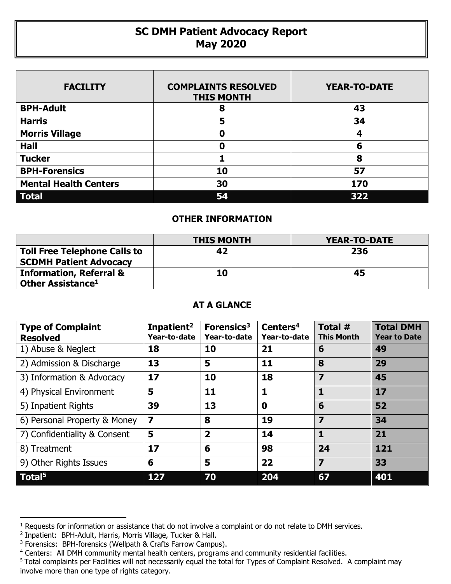## **SC DMH Patient Advocacy Report May 2020**

| <b>FACILITY</b>              | <b>COMPLAINTS RESOLVED</b><br><b>THIS MONTH</b> | <b>YEAR-TO-DATE</b> |
|------------------------------|-------------------------------------------------|---------------------|
| <b>BPH-Adult</b>             | 8                                               | 43                  |
| <b>Harris</b>                | 5                                               | 34                  |
| <b>Morris Village</b>        | Ω                                               | 4                   |
| <b>Hall</b>                  | Ω                                               | 6                   |
| <b>Tucker</b>                |                                                 | 8                   |
| <b>BPH-Forensics</b>         | 10                                              | 57                  |
| <b>Mental Health Centers</b> | 30                                              | 170                 |
| <b>Total</b>                 | 54                                              | 322                 |

## **OTHER INFORMATION**

|                                                                      | <b>THIS MONTH</b> | YEAR-TO-DATE |
|----------------------------------------------------------------------|-------------------|--------------|
| <b>Toll Free Telephone Calls to</b><br><b>SCDMH Patient Advocacy</b> | 42                | 236          |
| <b>Information, Referral &amp;</b><br>Other Assistance <sup>1</sup>  | 10                | 45           |

## **AT A GLANCE**

| <b>Type of Complaint</b><br><b>Resolved</b> | Inpatient <sup>2</sup><br>Year-to-date | Forensics <sup>3</sup><br>Year-to-date | Centers <sup>4</sup><br>Year-to-date | Total #<br><b>This Month</b> | <b>Total DMH</b><br><b>Year to Date</b> |
|---------------------------------------------|----------------------------------------|----------------------------------------|--------------------------------------|------------------------------|-----------------------------------------|
| 1) Abuse & Neglect                          | 18                                     | 10                                     | 21                                   | 6                            | 49                                      |
| 2) Admission & Discharge                    | 13                                     | 5                                      | 11                                   | 8                            | 29                                      |
| 3) Information & Advocacy                   | 17                                     | 10                                     | 18                                   | $\overline{\mathbf{z}}$      | 45                                      |
| 4) Physical Environment                     | 5                                      | 11                                     | 1                                    | 1                            | 17                                      |
| 5) Inpatient Rights                         | 39                                     | 13                                     | $\mathbf 0$                          | 6                            | 52                                      |
| 6) Personal Property & Money                | $\overline{\mathbf{z}}$                | 8                                      | 19                                   | 7                            | 34                                      |
| 7) Confidentiality & Consent                | 5                                      | $\overline{\mathbf{2}}$                | 14                                   | 1                            | 21                                      |
| 8) Treatment                                | 17                                     | 6                                      | 98                                   | 24                           | 121                                     |
| 9) Other Rights Issues                      | 6                                      | 5                                      | 22                                   | 7                            | 33                                      |
| Total <sup>5</sup>                          | 127                                    | 70                                     | 204                                  | 67                           | 401                                     |

 $\overline{a}$ 

<sup>&</sup>lt;sup>1</sup> Requests for information or assistance that do not involve a complaint or do not relate to DMH services.

<sup>2</sup> Inpatient: BPH-Adult, Harris, Morris Village, Tucker & Hall.

<sup>&</sup>lt;sup>3</sup> Forensics: BPH-forensics (Wellpath & Crafts Farrow Campus).

<sup>&</sup>lt;sup>4</sup> Centers: All DMH community mental health centers, programs and community residential facilities.

<sup>&</sup>lt;sup>5</sup> Total complaints per Facilities will not necessarily equal the total for Types of Complaint Resolved. A complaint may involve more than one type of rights category.